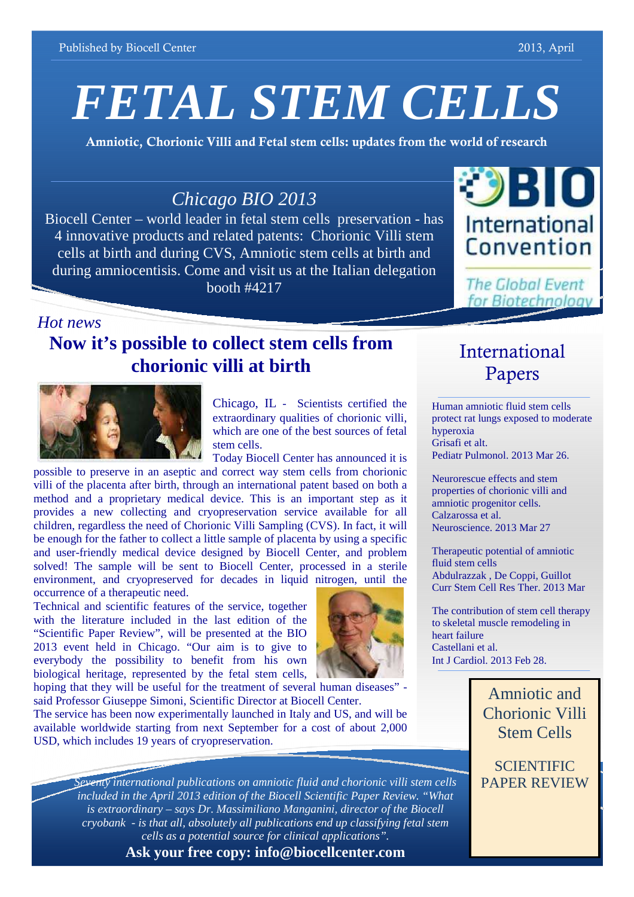# *FETAL STEM CELLS*

**Amniotic, Chorionic Villi and Fetal stem cells: updates from the world of research**

## *Chicago BIO 2013*

Biocell Center – world leader in fetal stem cells preservation - has 4 innovative products and related patents: Chorionic Villi stem cells at birth and during CVS, Amniotic stem cells at birth and during amniocentisis. Come and visit us at the Italian delegation booth #4217



**The Global Event** for Biotechnology

International

Papers

### *Hot news*

# **Now it's possible to collect stem cells from chorionic villi at birth**



Chicago, IL - Scientists certified the extraordinary qualities of chorionic villi, which are one of the best sources of fetal stem cells.

Today Biocell Center has announced it is

possible to preserve in an aseptic and correct way stem cells from chorionic villi of the placenta after birth, through an international patent based on both a method and a proprietary medical device. This is an important step as it provides a new collecting and cryopreservation service available for all children, regardless the need of Chorionic Villi Sampling (CVS). In fact, it will be enough for the father to collect a little sample of placenta by using a specific and user-friendly medical device designed by Biocell Center, and problem solved! The sample will be sent to Biocell Center, processed in a sterile environment, and cryopreserved for decades in liquid nitrogen, until the occurrence of a therapeutic need.

Technical and scientific features of the service, together with the literature included in the last edition of the "Scientific Paper Review", will be presented at the BIO 2013 event held in Chicago. "Our aim is to give to everybody the possibility to benefit from his own biological heritage, represented by the fetal stem cells,



hoping that they will be useful for the treatment of several human diseases" said Professor Giuseppe Simoni, Scientific Director at Biocell Center.

The service has been now experimentally launched in Italy and US, and will be available worldwide starting from next September for a cost of about 2,000 USD, which includes 19 years of cryopreservation.

> *Seventy international publications on amniotic fluid and chorionic villi stem cells included in the April 2013 edition of the Biocell Scientific Paper Review. "What is extraordinary – says Dr. Massimiliano Manganini, director of the Biocell cryobank - is that all, absolutely all publications end up classifying fetal stem cells as a potential source for clinical applications".*

#### Human amniotic fluid stem cells protect rat lungs exposed to moderate hyperoxia

Grisafi et alt. Pediatr Pulmonol. 2013 Mar 26.

Neurorescue effects and stem properties of chorionic villi and amniotic progenitor cells. Calzarossa et al. Neuroscience. 2013 Mar 27

Therapeutic potential of amniotic fluid stem cells Abdulrazzak , De Coppi, Guillot Curr Stem Cell Res Ther. 2013 Mar

The contribution of stem cell therapy to skeletal muscle remodeling in heart failure Castellani et al. Int J Cardiol. 2013 Feb 28.

# Amniotic and Chorionic Villi Stem Cells

**SCIENTIFIC** PAPER REVIEW

**Ask your free copy: info@biocellcenter.com**